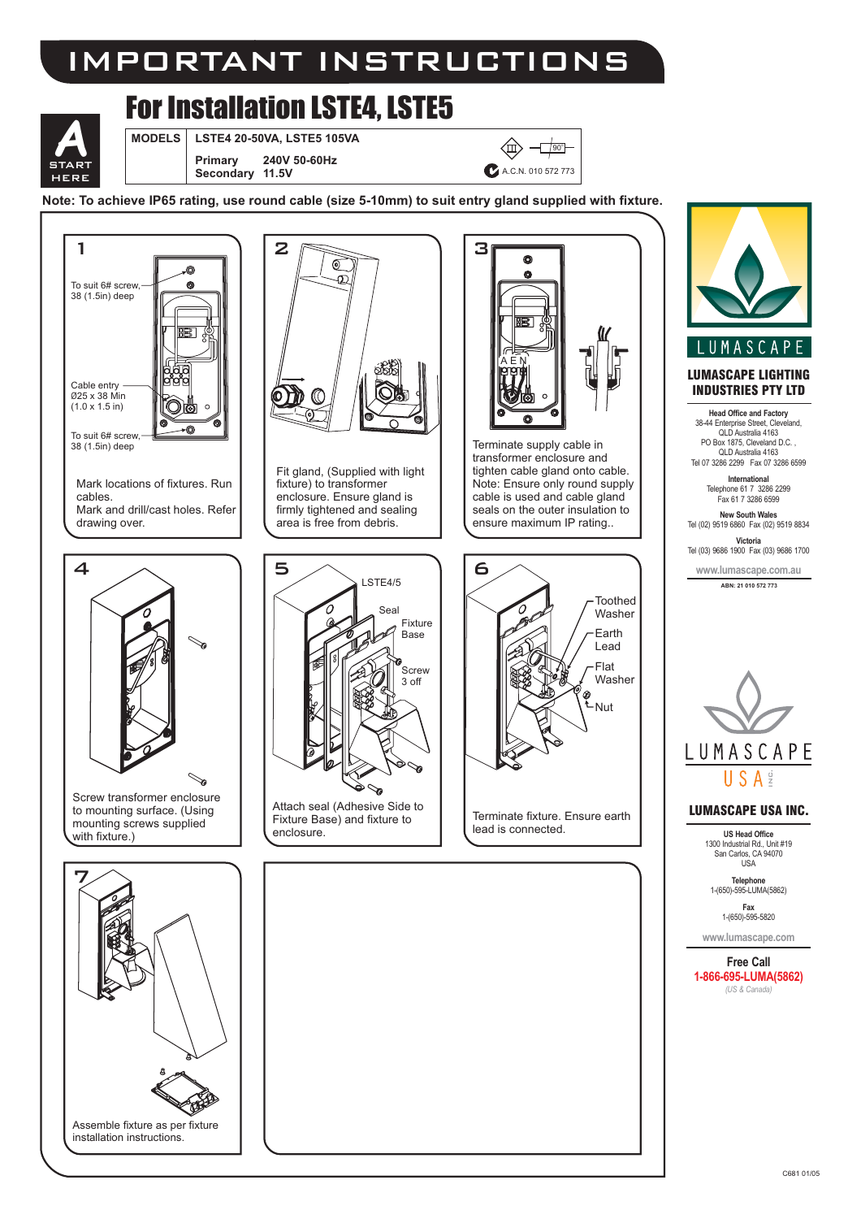# IMPORTANT INSTRUCTIONS

## For Installation LSTE4, LSTE5



**MODELS LSTE4 20-50VA, LSTE5 105VA**

**Primary 240V 50-60Hz** Secondary  $\begin{array}{|c|c|c|c|c|c|}\n\hline\n\textbf{STAT} & & \textbf{Primary} & \textbf{240V 50-60Hz} \\
& & \textbf{Secondary} & \textbf{41.5V} & & \textbf{A} & \textbf{C} & \textbf{A} & \textbf{C} & \textbf{N} & \textbf{010} & \textbf{572.773}\n\hline\n\end{array}$ 

 $\textcircled{4}$ 



**Note: To achieve IP65 rating, use round cable (size 5-10mm) to suit entry gland supplied with fixture.**



25 x 38 Min Ø  $(1.0 \times 1.5 \text{ in})$ 

To suit 6# screw, 38 (1.5in) deep

Mark locations of fixtures. Run cables.

Mark and drill/cast holes. Refer drawing over.



Screw transformer enclosure to mounting surface. (Using mounting screws supplied with fixture.)





Fit gland, (Supplied with light fixture) to transformer enclosure. Ensure gland is firmly tightened and sealing area is free from debris.

LSTE4/5

Seal

Fixture Base

Screw 3 off

Attach seal (Adhesive Side to Fixture Base) and fixture to

↘

enclosure.

5



Terminate supply cable in transformer enclosure and tighten cable gland onto cable. Note: Ensure only round supply cable is used and cable gland seals on the outer insulation to ensure maximum IP rating..



Terminate fixture. Ensure earth lead is connected.



#### **LUMASCAPE LIGHTING INDUSTRIES PTY LTD**

**Head Office and Factory** 38-44 Enterprise Street, Cleveland, QLD Australia 4163 PO Box 1875, Cleveland D.C. QLD Australia 4163 Tel 07 3286 2299 Fax 07 3286 6599

**International New South Wales** Telephone 61 7 3286 2299 Fax 61 7 3286 6599

Tel (02) 9519 6860 Fax (02) 9519 8834

**Victoria**<br>Tel (03) 9686 1900 Fax (03) 9686 1700

**www.lumascape.com.au ABN: 21 010 572 773**



#### **LUMASCAPE USA INC.**

**US Head Office** 1300 Industrial Rd., Unit #19 San Carlos, CA 94070 USA

**Telephone** 1-(650)-595-LUMA(5862)

**Fax** 1-(650)-595-5820

**www.lumascape.com**

**Free Call** *(US & Canada)* **1-866-695-LUMA(5862)**

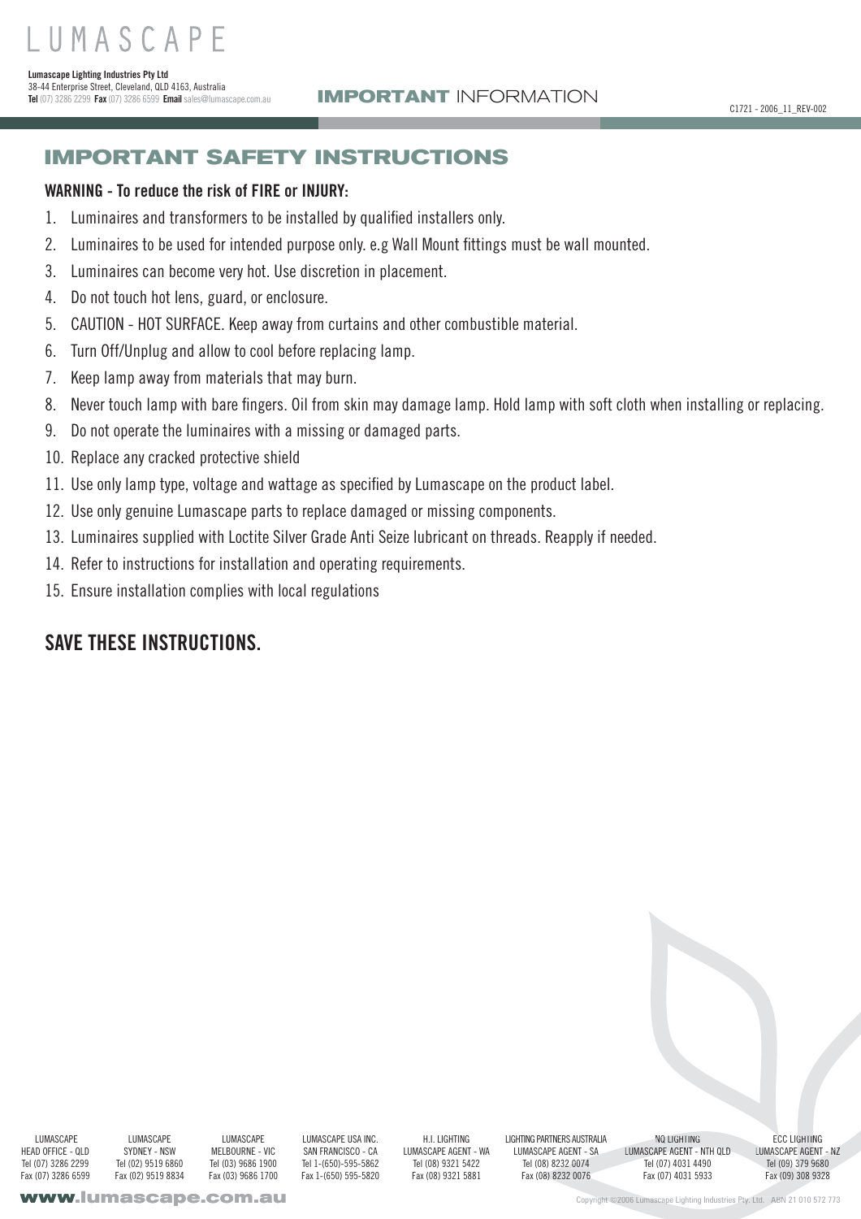38-44 Enterprise Street, Cleveland, QLD 4163, Australia **Tel** (07) 3286 2299 **Fax**(07) 3286 6599 **Email**sales@lumascape.com.au

**Lumascape Lighting Industries Pty Ltd**

## **IMPORTANT SAFETY INSTRUCTIONS**

### **WARNING - To reduce the risk of FIRE or INJURY:**

- Luminaires and transformers to be installed by qualified installers only. 1.
- Luminaires to be used for intended purpose only. e.g Wall Mount fittings must be wall mounted. 2.
- Luminaires can become very hot. Use discretion in placement. 3.
- Do not touch hot lens, guard, or enclosure. 4.
- CAUTION HOT SURFACE. Keep away from curtains and other combustible material. 5.
- Turn Off/Unplug and allow to cool before replacing lamp. 6.
- Keep lamp away from materials that may burn. 7.
- Never touch lamp with bare fingers. Oil from skin may damage lamp. Hold lamp with soft cloth when installing or replacing. 8.
- Do not operate the luminaires with a missing or damaged parts. 9.
- 10. Replace any cracked protective shield
- 11. Use only lamp type, voltage and wattage as specified by Lumascape on the product label.
- 12. Use only genuine Lumascape parts to replace damaged or missing components.
- Luminaires supplied with Loctite Silver Grade Anti Seize lubricant on threads. Reapply if needed. 13.
- 14. Refer to instructions for installation and operating requirements.
- 15. Ensure installation complies with local regulations

### **SAVE THESE INSTRUCTIONS.**

**LUMASCAPE** HEAD OFFICE - QLD Tel (07) 3286 2299 Fax (07) 3286 6599

**LUMASCAPE** SYDNEY - NSW Tel (02) 9519 6860 Fax (02) 9519 8834

**LUMASCAPE** MELBOURNE - VIC Tel (03) 9686 1900 Fax (03) 9686 1700

LUMASCAPE USA INC. SAN FRANCISCO - CA Tel 1-(650)-595-5862 Fax 1-(650) 595-5820

H.I. LIGHTING LUMASCAPE AGENT - WA Tel (08) 9321 5422 Fax (08) 9321 5881

LIGHTING PARTNERS AUSTRALIA LUMASCAPE AGENT - SA Tel (08) 8232 0074 Fax (08) 8232 0076

NQ LIGHTING LUMASCAPE AGENT - NTH QLD Tel (07) 4031 4490 Fax (07) 4031 5933 A232 08) GHTIN

ECC LIGHTING LUMASCAPE AGENT - NZ Tel (09) 379 9680 Fax (09) 308 9328